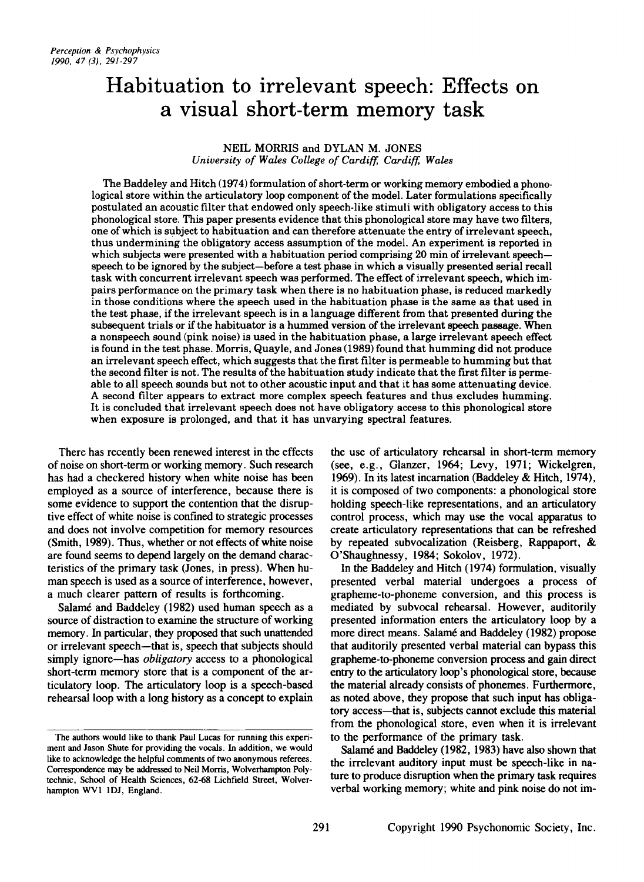# **Habituation to irrelevant speech: Effects on a visual short-term memory task**

# NEIL MORRIS and DYLAN M. JONES *University of Wales College of Cardiff, Cardiff, Wales*

The Baddeley and Hitch (1974) formulation of short-term or working memory embodied a phonological store within the articulatory loop component of the model. Later formulations specifically postulated an acoustic filter that endowed only speech-like stimuli with obligatory access to this phonological store. This paper presents evidence that this phonological store may have two filters, one of which is subject to habituation and can therefore attenuate the entry of irrelevant speech, thus undermining the obligatory access assumption of the model. An experiment is reported in which subjects were presented with a habituation period comprising 20 min of irrelevant speechspeech to be ignored by the subject-before a test phase in which a visually presented serial recall task with concurrent irrelevant speech was performed. The effect of irrelevant speech, which impairs performance on the primary task when there is no habituation phase, is reduced markedly in those conditions where the speech used in the habituation phase is the same as that used in the test phase, ifthe irrelevant speech is in a language different from that presented during the subsequent trials or if the habituator is a hummed version of the irrelevant speech passage. When a nonspeech sound (pink noise) is used in the habituation phase, a large irrelevant speech effect is found in the test phase. Morris, Quayle, and Jones (1989) found that humming did not produce an irrelevant speech effect, which suggests that the first filter is permeable to humming but that the second filter is not. The results of the habituation study indicate that the first filter is permeable to all speech sounds but not to other acoustic input and that it has some attenuating device. A second filter appears to extract more complex speech features and thus excludes humming. It is concluded that irrelevant speech does not have obligatory access to this phonological store when exposure is prolonged, and that it has unvarying spectral features.

There has recently been renewed interest in the effects of noise on short-term or working memory. Such research has had a checkered history when white noise has been employed as a source of interference, because there is some evidence to support the contention that the disruptive effect of white noise is confined to strategic processes and does not involve competition for memory resources (Smith, 1989). Thus, whether or not effects of white noise are found seems to depend largely on the demand characteristics of the primary task (Jones, in press). When human speech is used as a source of interference, however, a much clearer pattern of results is forthcoming.

Salamé and Baddeley (1982) used human speech as a source of distraction to examine the structure of working memory. In particular, they proposed that such unattended or irrelevant speech-that is, speech that subjects should simply ignore-has *obligatory* access to a phonological short-term memory store that is a component of the articulatory loop. The articulatory loop is a speech-based rehearsal loop with a long history as a concept to explain

the use of articulatory rehearsal in short-term memory (see, e.g., Glanzer, 1964; Levy, 1971; Wickelgren, 1969). **In** its latest incarnation (Baddeley & Hitch, 1974), it is composed of two components: a phonological store holding speech-like representations, and an articulatory control process, which may use the vocal apparatus to create articulatory representations that can be refreshed by repeated subvocalization (Reisberg, Rappaport, & O'Shaughnessy, 1984; Sokolov, 1972).

In the Baddeley and Hitch (1974) formulation, visually presented verbal material undergoes a process of grapheme-to-phoneme conversion, and this process is mediated by subvocal rehearsal. However, auditorily presented information enters the articulatory loop by a more direct means. Salame and Baddeley (1982) propose that auditorily presented verbal material can bypass this grapheme-to-phoneme conversion process and gain direct entry to the articulatory loop's phonological store, because the material already consists of phonemes. Furthermore, as noted above, they propose that such input has obligatory access-that is, subjects cannot exclude this material from the phonological store, even when it is irrelevant to the performance of the primary task.

Salame and Baddeley (1982, 1983) have also shown that the irrelevant auditory input must be speech-like in nature to produce disruption when the primary task requires verbal working memory; white and pink noise do not im-

The authors would like to thank Paul Lucas for running this experiment and Jason Shute for providing the vocals. In addition, we would like to acknowledge the helpful comments of two anonymous referees. Correspondence may be addressed to Neil Morris, Wolverhampton Polytechnic, School of Health Sciences, 62-68 Lichfield Street, Wolverhampton WV1 1DJ, England.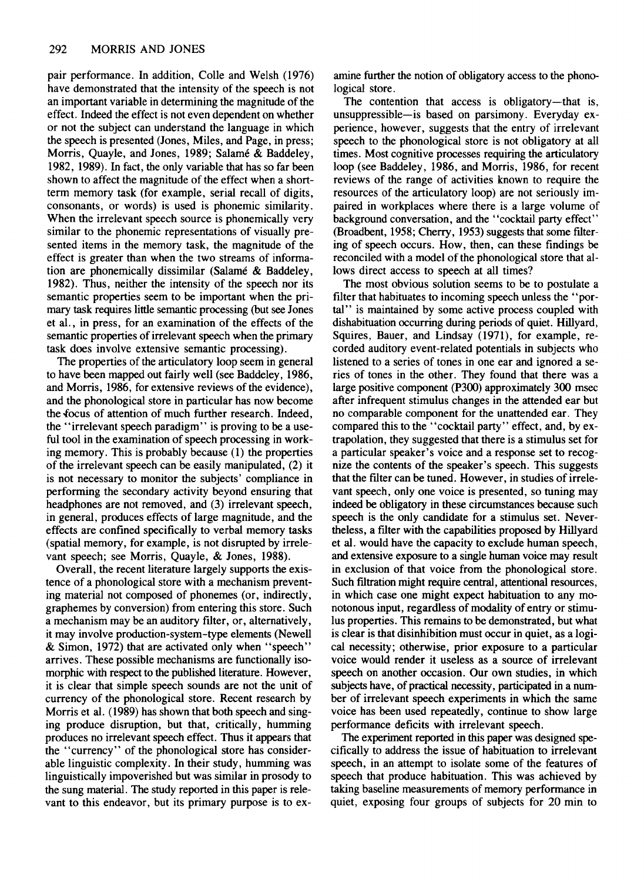pair performance. In addition, Colle and Welsh (1976) have demonstrated that the intensity of the speech is not an important variable in determining the magnitude of the effect. Indeed the effect is not even dependent on whether or not the subject can understand the language in which the speech is presented (Jones, Miles, and Page, in press; Morris, Quayle, and Jones, 1989; Salamé & Baddeley, 1982, 1989). In fact, the only variable that has so far been shown to affect the magnitude of the effect when a shortterm memory task (for example, serial recall of digits, consonants, or words) is used is phonemic similarity. When the irrelevant speech source is phonemically very similar to the phonemic representations of visually presented items in the memory task, the magnitude of the effect is greater than when the two streams of information are phonemically dissimilar (Salame & Baddeley, 1982). Thus, neither the intensity of the speech nor its semantic properties seem to be important when the primary task requires little semantic processing (but see Jones et al., in press, for an examination of the effects of the semantic properties of irrelevant speech when the primary task does involve extensive semantic processing).

The properties of the articulatory loop seem in general to have been mapped out fairly well (see Baddeley, 1986, and Morris, 1986, for extensive reviews of the evidence), and the phonological store in particular has now become the focus of attention of much further research. Indeed, the "irrelevant speech paradigm" is proving to be a useful tool in the examination of speech processing in working memory. This is probably because (1) the properties of the irrelevant speech can be easily manipulated, (2) it is not necessary to monitor the subjects' compliance in performing the secondary activity beyond ensuring that headphones are not removed, and (3) irrelevant speech, in general, produces effects of large magnitude, and the effects are confined specifically to verbal memory tasks (spatial memory, for example, is not disrupted by irrelevant speech; see Morris, Quayle, & Jones, 1988).

Overall, the recent literature largely supports the existence of a phonological store with a mechanism preventing material not composed of phonemes (or, indirectly, graphemes by conversion) from entering this store. Such a mechanism may be an auditory filter, or, alternatively, it may involve production-system-type elements (Newell & Simon, 1972) that are activated only when "speech" arrives. These possible mechanisms are functionally isomorphic with respect to the published literature. However, it is clear that simple speech sounds are not the unit of currency of the phonological store. Recent research by Morris et al. (1989) has shown that both speech and singing produce disruption, but that, critically, humming produces no irrelevant speech effect. Thus it appears that the "currency" of the phonological store has considerable linguistic complexity. In their study, humming was linguistically impoverished but was similar in prosody to the sung material. The study reported in this paper is relevant to this endeavor, but its primary purpose is to examine further the notion of obligatoryaccess to the phonological store.

The contention that access is obligatory—that is, unsuppressible-is based on parsimony. Everyday experience, however, suggests that the entry of irrelevant speech to the phonological store is not obligatory at all times. Most cognitive processes requiring the articulatory loop (see Baddeley, 1986, and Morris, 1986, for recent reviews of the range of activities known to require the resources of the articulatory loop) are not seriously impaired in workplaces where there is a large volume of background conversation, and the "cocktail party effect" (Broadbent, 1958; Cherry, 1953) suggests that some filtering of speech occurs. How, then, can these findings be reconciled with a model of the phonological store that allows direct access to speech at all times?

The most obvious solution seems to be to postulate a filter that habituates to incoming speech unless the "portal" is maintained by some active process coupled with dishabituation occurring during periods of quiet. Hillyard, Squires, Bauer, and Lindsay (1971), for example, recorded auditory event-related potentials in subjects who listened to a series of tones in one ear and ignored a series of tones in the other. They found that there was a large positive component (P300) approximately 300 msec after infrequent stimulus changes in the attended ear but no comparable component for the unattended ear. They compared this to the "cocktail party" effect, and, byextrapolation, they suggested that there is a stimulus set for a particular speaker's voice and a response set to recognize the contents of the speaker's speech. This suggests that the filter can be tuned. However, in studies of irrelevant speech, only one voice is presented, so tuning may indeed be obligatory in these circumstances because such speech is the only candidate for a stimulus set. Nevertheless, a filter with the capabilities proposed by Hillyard et al. would have the capacity to exclude human speech, and extensive exposure to a single human voice may result in exclusion of that voice from the phonological store. Such filtration might require central, attentional resources, in which case one might expect habituation to any monotonous input, regardless of modality of entry or stimulus properties. This remains to be demonstrated, but what is clear is that disinhibition must occur in quiet, as a logical necessity; otherwise, prior exposure to a particular voice would render it useless as a source of irrelevant speech on another occasion. Our own studies, in which subjects have, of practical necessity, participated in a number of irrelevant speech experiments in which the same voice has been used repeatedly, continue to show large performance deficits with irrelevant speech.

The experiment reported in this paper was designed specifically to address the issue of habituation to irrelevant speech, in an attempt to isolate some of the features of speech that produce habituation. This was achieved by taking baseline measurements of memory performance in quiet, exposing four groups of subjects for 20 min to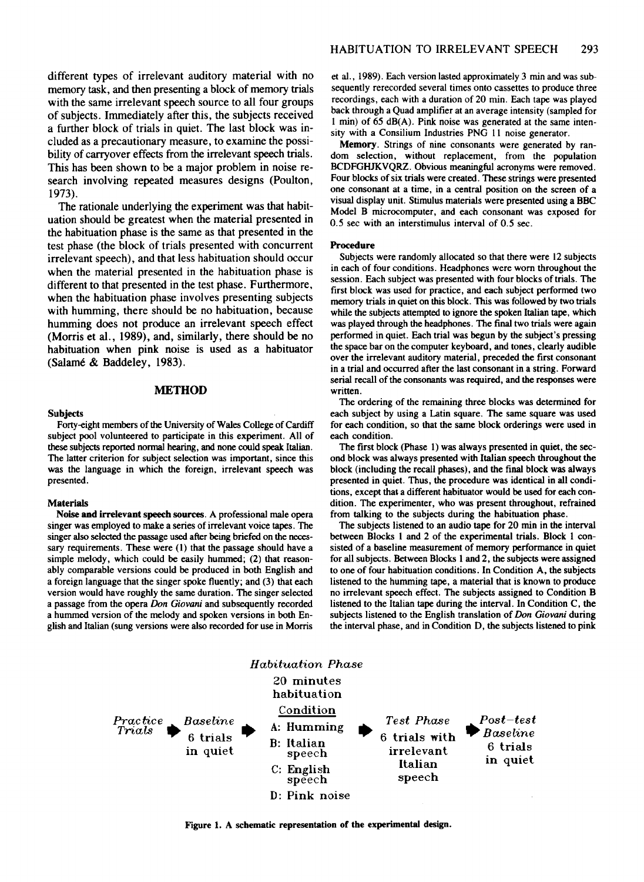bility of carryover effects from the irrelevant speech trials. This has been shown to be a major problem in noise research involving repeated measures designs (Poulton, 1973).

The rationale underlying the experiment was that habituation should be greatest when the material presented in the habituation phase is the same as that presented in the test phase (the block of trials presented with concurrent irrelevant speech), and that less habituation should occur when the material presented in the habituation phase is different to that presented in the test phase. Furthermore, when the habituation phase involves presenting subjects with humming, there should be no habituation, because humming does not produce an irrelevant speech effect (Morris et al., 1989), and, similarly, there should be no habituation when pink noise is used as a habituator (Salame & Baddeley, 1983).

## METHOD

#### Subjects

Forty-eight members of the Universityof Wales College of Cardiff subject pool volunteered to participate in this experiment. All of these subjects reported normal hearing, and none could speak Italian. The latter criterion for subject selection was important, since this was the language in which the foreign, irrelevant speech was presented.

#### **Materials**

Noise and irrelevant speech sources. A professional male opera singer was employed to make a series of irrelevant voice tapes. The singer also selected the passage used after being briefed on the necessary requirements. These were (I) that the passage should have a simple melody, which could be easily hummed; (2) that reasonably comparable versions could be produced in both English and a foreign language that the singer spoke fluently; and (3) that each version would have roughly the same duration. The singer selected a passage from the opera *Don Giovani* and subsequently recorded a hummed version of the melody and spoken versions in both English and Italian (sung versions were also recorded for use in Morris et aI., 1989). Each version lasted approximately 3 min and was subsequently rerecorded several times onto cassettes to produce three recordings, each with a duration of 20 min. Each tape was played back through a Quad amplifier at an average intensity (sampled for I min) of 65 dB(A). Pink noise was generated at the same intensity with a Consilium Industries PNG II noise generator.

Memory. Strings of nine consonants were generated by random selection, without replacement, from the population BCDFGHJKVQRZ. Obvious meaningful acronyms were removed. Four blocks of six trials were created. These strings were presented one consonant at a time, in a central position on the screen of a visual display unit. Stimulus materials were presented using a BBC Model B microcomputer, and each consonant was exposed for 0.5 sec with an interstimulus interval of 0.5 sec.

### Procedure

Subjects were randomly allocated so that there were 12 subjects in each of four conditions. Headphones were worn throughout the session. Each subject was presented with four blocks of trials. The first block was used for practice, and each subject performed two memory trials in quiet on this block. This was followed by two trials while the subjects attempted to ignore the spoken Italian tape, which was played through the headphones. The final two trials were again performed in quiet. Each trial was begun by the subject's pressing the space bar on the computer keyboard, and tones, clearly audible over the irrelevant auditory material, preceded the first consonant in a trial and occurred after the last consonant in a string. Forward serial recall of the consonants was required, and the responses were written.

The ordering of the remaining three blocks was determined for each subject by using a Latin square. The same square was used for each condition, so that the same block orderings were used in each condition.

The first block (Phase 1) was always presented in quiet, the second block was always presented with Italian speech throughout the block (including the recall phases), and the final block was always presented in quiet. Thus, the procedure was identical in all conditions, except that a different habituator would be used for each condition. The experimenter, who was present throughout, refrained from talking to the subjects during the habituation phase.

The subjects listened to an audio tape for 20 min in the interval between Blocks I and 2 of the experimental trials. Block I consisted of a baseline measurement of memory performance in quiet for all subjects. Between Blocks I and 2, the subjects were assigned to one of four habituation conditions. In Condition A, the subjects listened to the humming tape, a material that is known to produce no irrelevant speech effect. The subjects assigned to Condition B listened to the Italian tape during the interval. In Condition C, the subjects listened to the English translation of *Don Giovani* during the interval phase, and in Condition D, the subjects listened to pink



Figure 1. A schematic representation of the experimental design.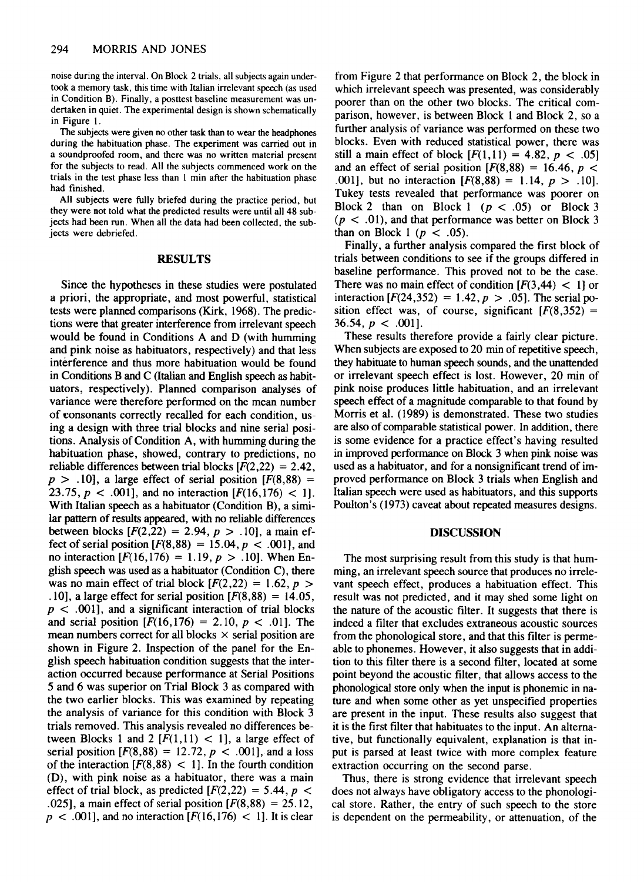noise during the interval. On Block 2 trials, all subjects again undertook a memory task, this time with Italian irrelevant speech (as used in Condition B). Finally, a posttest baseline measurement was undertaken in quiet. The experimental design is shown schematically in Figure I.

The subjects were given no other task than to wear the headphones during the habituation phase. The experiment was carried out in a soundproofed room, and there was no written material present for the subjects to read. All the subjects commenced work on the trials in the test phase less than I min after the habituation phase had finished.

All subjects were fully briefed during the practice period, but they were not told what the predicted results were until all 48 subjects had been run. When all the data had been collected, the subjects were debriefed.

# **RESULTS**

Since the hypotheses in these studies were postulated a priori, the appropriate, and most powerful, statistical tests were planned comparisons (Kirk, 1968). The predictions were that greater interference from irrelevant speech would be found in Conditions A and D (with humming and pink noise as habituators, respectively) and that less interference and thus more habituation would be found in Conditions B and C (Italian and English speech as habituators, respectively). Planned comparison analyses of variance were therefore performed on the mean number of consonants correctly recalled for each condition, using a design with three trial blocks and nine serial positions. Analysis of Condition A, with humming during the habituation phase, showed, contrary to predictions, no reliable differences between trial blocks  $[F(2,22) = 2.42]$ ,  $p > .10$ ], a large effect of serial position  $[F(8,88) =$ 23.75,  $p < .001$ ], and no interaction  $[F(16, 176) < 1]$ . With Italian speech as a habituator (Condition B), a similar pattern of results appeared, with no reliable differences between blocks  $[F(2,22) = 2.94, p > .10]$ , a main effect of serial position  $[F(8,88) = 15.04, p < .001]$ , and no interaction  $[F(16, 176) = 1.19, p > .10]$ . When English speech was used as a habituator (Condition C), there was no main effect of trial block  $[F(2,22) = 1.62, p >$ .10], a large effect for serial position  $[F(8,88) = 14.05]$ ,  $p < .001$ , and a significant interaction of trial blocks and serial position  $[F(16,176) = 2.10, p < .01]$ . The mean numbers correct for all blocks  $\times$  serial position are shown in Figure 2. Inspection of the panel for the English speech habituation condition suggests that the interaction occurred because performance at Serial Positions 5 and 6 was superior on Trial Block 3 as compared with the two earlier blocks. This was examined by repeating the analysis of variance for this condition with Block 3 trials removed. This analysis revealed no differences between Blocks 1 and 2  $[F(1,11)] < 1$ , a large effect of serial position  $[F(8,88) = 12.72, p < .001]$ , and a loss of the interaction  $[F(8,88) < 1]$ . In the fourth condition (D), with pink noise as a habituator, there was a main effect of trial block, as predicted  $[F(2,22) = 5.44, p <$ .025], a main effect of serial position  $[F(8,88) = 25.12]$ ,  $p < .001$ ], and no interaction  $[F(16, 176) < 1]$ . It is clear

from Figure 2 that performance on Block 2, the block in which irrelevant speech was presented, was considerably poorer than on the other two blocks. The critical comparison, however, is between Block 1 and Block 2, so a further analysis of variance was performed on these two blocks. Even with reduced statistical power, there was still a main effect of block  $[F(1,11) = 4.82, p < .05]$ and an effect of serial position  $[F(8,88) = 16.46, p <$ .001], but no interaction  $[F(8,88) = 1.14, p > .10]$ . Tukey tests revealed that performance was poorer on Block 2 than on Block 1 ( $p < .05$ ) or Block 3  $(p < .01)$ , and that performance was better on Block 3 than on Block 1 ( $p < .05$ ).

Finally, a further analysis compared the first block of trials between conditions to see if the groups differed in baseline performance. This proved not to be the case. There was no main effect of condition  $[F(3,44) < 1]$  or interaction  $[F(24, 352) = 1.42, p > .05]$ . The serial position effect was, of course, significant  $[F(8,352) =$ 36.54,  $p < .001$ .

These results therefore provide a fairly clear picture. When subjects are exposed to 20 min of repetitive speech, they habituate to human speech sounds, and the unattended or irrelevant speech effect is lost. However, 20 min of pink noise produces little habituation, and an irrelevant speech effect of a magnitude comparable to that found by Morris et al. (1989) is demonstrated. These two studies are also of comparable statistical power. In addition, there is some evidence for a practice effect's having resulted in improved performance on Block 3 when pink noise was used as a habituator, and for a nonsignificant trend of improved performance on Block 3 trials when English and Italian speech were used as habituators, and this supports Poulton's (1973) caveat about repeated measures designs.

# DISCUSSION

The most surprising result from this study is that humming, an irrelevant speech source that produces no irrelevant speech effect, produces a habituation effect. This result was not predicted, and it may shed some light on the nature of the acoustic filter. It suggests that there is indeed a filter that excludes extraneous acoustic sources from the phonological store, and that this filter is permeable to phonemes. However, it also suggests that in addition to this filter there is a second filter, located at some point beyond the acoustic filter, that allows access to the phonological store only when the input is phonemic in nature and when some other as yet unspecified properties are present in the input. These results also suggest that it is the first filter that habituates to the input. An alternative, but functionally equivalent, explanation is that input is parsed at least twice with more complex feature extraction occurring on the second parse.

Thus, there is strong evidence that irrelevant speech does not always have obligatory access to the phonological store. Rather, the entry of such speech to the store is dependent on the permeability, or attenuation, of the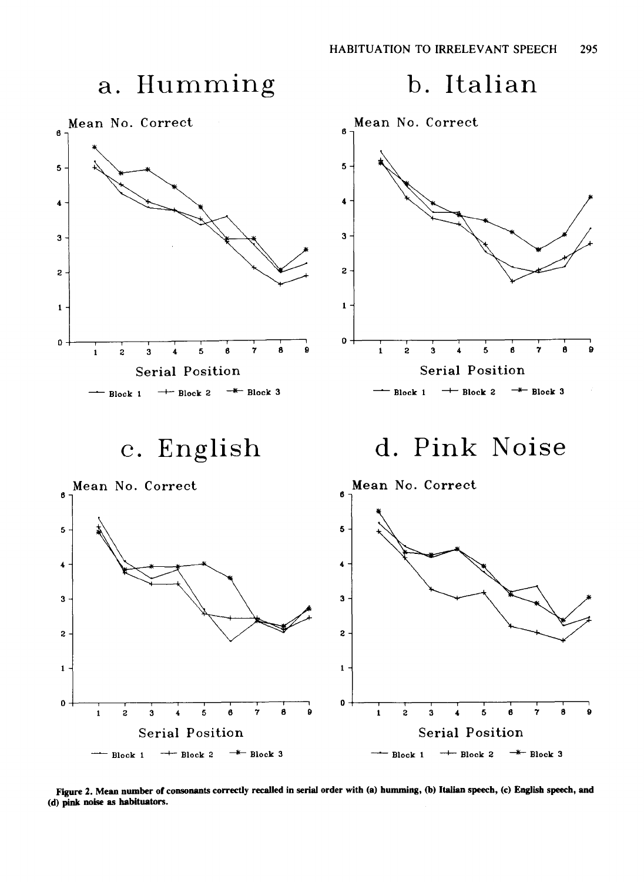

Figure 2. Mean number of consonants correctly recalled in serial order with (a) humming, (b) Italian speech, (c) English speech, and (d) pink noise as habltuators.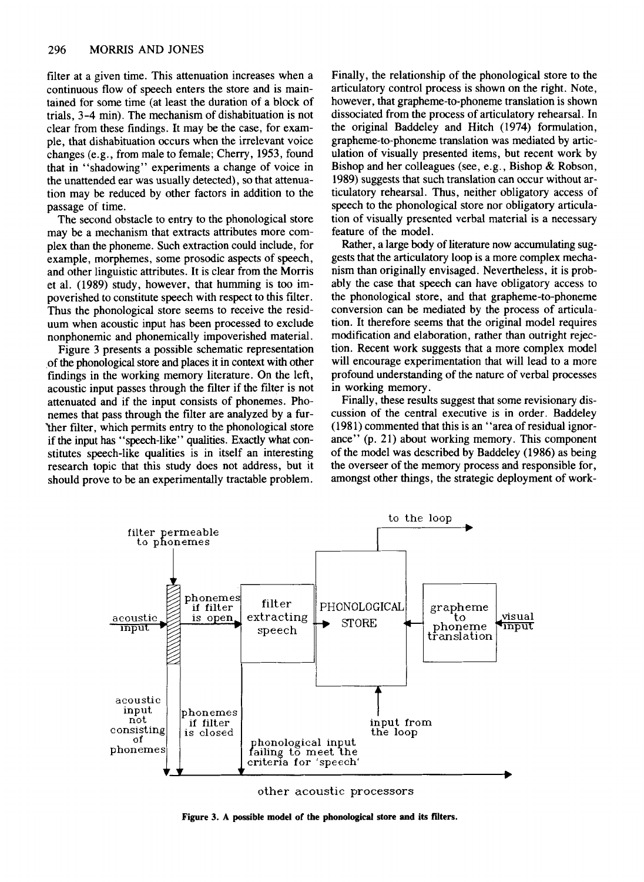filter at a given time. This attenuation increases when a continuous flow of speech enters the store and is maintained for some time (at least the duration of a block of trials, 3-4 min). The mechanism of dishabituation is not clear from these findings. It may be the case, for example, that dishabituation occurs when the irrelevant voice changes (e.g., from male to female; Cherry, 1953, found that in "shadowing" experiments a change of voice in the unattended ear was usually detected), so that attenuation may be reduced by other factors in addition to the passage of time.

The second obstacle to entry to the phonological store may be a mechanism that extracts attributes more complex than the phoneme. Such extraction could include, for example, morphemes, some prosodic aspects of speech, and other linguistic attributes. It is clear from the Morris et al. (1989) study, however, that humming is too impoverished to constitute speech with respect to this filter. Thus the phonological store seems to receive the residuum when acoustic input has been processed to exclude nonphonemic and phonemically impoverished material.

Figure 3 presents a possible schematic representation of the phonological store and places it in context with other findings in the working memory literature. On the left, acoustic input passes through the filter if the filter is not attenuated and if the input consists of phonemes. Phonemes that pass through the filter are analyzed by a fur- 'ther filter, which permits entry to the phonological store if the input has "speech-like" qualities. Exactly what constitutes speech-like qualities is in itself an interesting research topic that this study does not address, but it should prove to be an experimentally tractable problem.

Finally, the relationship of the phonological store to the articulatory control process is shown on the right. Note, however, that grapheme-to-phoneme translation is shown dissociated from the process of articulatory rehearsal. In the original Baddeley and Hitch (1974) formulation, grapheme-to-phoneme translation was mediated by articulation of visually presented items, but recent work by Bishop and her colleagues (see, e.g., Bishop & Robson, 1989) suggests that such translation can occur without articulatory rehearsal. Thus, neither obligatory access of speech to the phonological store nor obligatory articulation of visually presented verbal material is a necessary feature of the model.

Rather, a large body of literature now accumulating suggests that the articulatory loop is a more complex mechanism than originally envisaged. Nevertheless, it is probably the case that speech can have obligatory access to the phonological store, and that grapheme-to-phoneme conversion can be mediated by the process of articulation. It therefore seems that the original model requires modification and elaboration, rather than outright rejection. Recent work suggests that a more complex model will encourage experimentation that will lead to a more profound understanding of the nature of verbal processes in working memory.

Finally, these results suggest that some revisionary discussion of the central executive is in order. Baddeley (1981) commented that this is an "area of residual ignorance" (p. 21) about working memory. This component of the model was described by Baddeley (1986) as being the overseer of the memory process and responsible for, amongst other things, the strategic deployment of work-



Figure 3. A possible model of the phonological store and its filters.